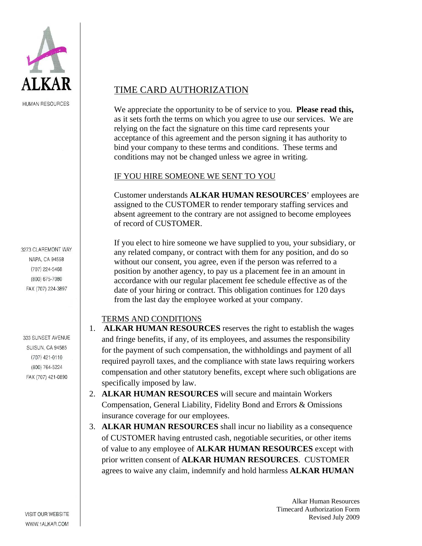

**HUMAN RESOURCES** 

3273 CLAREMONT WAY NAPA, CA 94558 (707) 224-5468 (800) 675-7080 FAX (707) 224-3897

333 SUNSET AVENUE **SUISUN, CA 94585**  $(707)$  421-0110 (800) 764-5224 FAX (707) 421-0890

## TIME CARD AUTHORIZATION

We appreciate the opportunity to be of service to you. **Please read this,**  as it sets forth the terms on which you agree to use our services. We are relying on the fact the signature on this time card represents your acceptance of this agreement and the person signing it has authority to bind your company to these terms and conditions. These terms and conditions may not be changed unless we agree in writing.

## IF YOU HIRE SOMEONE WE SENT TO YOU

Customer understands **ALKAR HUMAN RESOURCES**' employees are assigned to the CUSTOMER to render temporary staffing services and absent agreement to the contrary are not assigned to become employees of record of CUSTOMER.

If you elect to hire someone we have supplied to you, your subsidiary, or any related company, or contract with them for any position, and do so without our consent, you agree, even if the person was referred to a position by another agency, to pay us a placement fee in an amount in accordance with our regular placement fee schedule effective as of the date of your hiring or contract. This obligation continues for 120 days from the last day the employee worked at your company.

## TERMS AND CONDITIONS

- 1. **ALKAR HUMAN RESOURCES** reserves the right to establish the wages and fringe benefits, if any, of its employees, and assumes the responsibility for the payment of such compensation, the withholdings and payment of all required payroll taxes, and the compliance with state laws requiring workers compensation and other statutory benefits, except where such obligations are specifically imposed by law.
- 2. **ALKAR HUMAN RESOURCES** will secure and maintain Workers Compensation, General Liability, Fidelity Bond and Errors & Omissions insurance coverage for our employees.
- 3. **ALKAR HUMAN RESOURCES** shall incur no liability as a consequence of CUSTOMER having entrusted cash, negotiable securities, or other items of value to any employee of **ALKAR HUMAN RESOURCES** except with prior written consent of **ALKAR HUMAN RESOURCES**. CUSTOMER agrees to waive any claim, indemnify and hold harmless **ALKAR HUMAN**